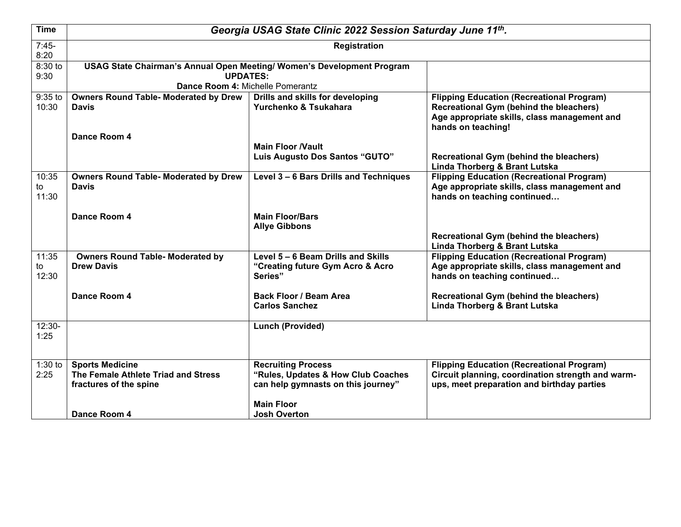| <b>Time</b> | Georgia USAG State Clinic 2022 Session Saturday June 11th.             |                                        |                                                                    |  |
|-------------|------------------------------------------------------------------------|----------------------------------------|--------------------------------------------------------------------|--|
| $7:45-$     | <b>Registration</b>                                                    |                                        |                                                                    |  |
| 8:20        |                                                                        |                                        |                                                                    |  |
| 8:30 to     | USAG State Chairman's Annual Open Meeting/ Women's Development Program |                                        |                                                                    |  |
| 9:30        | <b>UPDATES:</b>                                                        |                                        |                                                                    |  |
|             | Dance Room 4: Michelle Pomerantz                                       |                                        |                                                                    |  |
| 9:35 to     | <b>Owners Round Table- Moderated by Drew</b>                           | Drills and skills for developing       | <b>Flipping Education (Recreational Program)</b>                   |  |
| 10:30       | <b>Davis</b>                                                           | Yurchenko & Tsukahara                  | <b>Recreational Gym (behind the bleachers)</b>                     |  |
|             |                                                                        |                                        | Age appropriate skills, class management and<br>hands on teaching! |  |
|             | Dance Room 4                                                           |                                        |                                                                    |  |
|             |                                                                        | <b>Main Floor /Vault</b>               |                                                                    |  |
|             |                                                                        | Luis Augusto Dos Santos "GUTO"         | <b>Recreational Gym (behind the bleachers)</b>                     |  |
|             |                                                                        |                                        | <b>Linda Thorberg &amp; Brant Lutska</b>                           |  |
| 10:35       | <b>Owners Round Table- Moderated by Drew</b>                           | Level 3 - 6 Bars Drills and Techniques | <b>Flipping Education (Recreational Program)</b>                   |  |
| to          | <b>Davis</b>                                                           |                                        | Age appropriate skills, class management and                       |  |
| 11:30       |                                                                        |                                        | hands on teaching continued                                        |  |
|             |                                                                        |                                        |                                                                    |  |
|             | Dance Room 4                                                           | <b>Main Floor/Bars</b>                 |                                                                    |  |
|             |                                                                        | <b>Allye Gibbons</b>                   |                                                                    |  |
|             |                                                                        |                                        | <b>Recreational Gym (behind the bleachers)</b>                     |  |
|             |                                                                        |                                        | Linda Thorberg & Brant Lutska                                      |  |
| 11:35       | <b>Owners Round Table- Moderated by</b>                                | Level 5 - 6 Beam Drills and Skills     | <b>Flipping Education (Recreational Program)</b>                   |  |
| to          | <b>Drew Davis</b>                                                      | "Creating future Gym Acro & Acro       | Age appropriate skills, class management and                       |  |
| 12:30       |                                                                        | Series"                                | hands on teaching continued                                        |  |
|             | Dance Room 4                                                           | Back Floor / Beam Area                 | <b>Recreational Gym (behind the bleachers)</b>                     |  |
|             |                                                                        | <b>Carlos Sanchez</b>                  | Linda Thorberg & Brant Lutska                                      |  |
|             |                                                                        |                                        |                                                                    |  |
| $12:30-$    |                                                                        | <b>Lunch (Provided)</b>                |                                                                    |  |
| 1:25        |                                                                        |                                        |                                                                    |  |
|             |                                                                        |                                        |                                                                    |  |
|             |                                                                        |                                        |                                                                    |  |
| $1:30$ to   | <b>Sports Medicine</b>                                                 | <b>Recruiting Process</b>              | <b>Flipping Education (Recreational Program)</b>                   |  |
| 2:25        | The Female Athlete Triad and Stress                                    | "Rules, Updates & How Club Coaches     | Circuit planning, coordination strength and warm-                  |  |
|             | fractures of the spine                                                 | can help gymnasts on this journey"     | ups, meet preparation and birthday parties                         |  |
|             |                                                                        | <b>Main Floor</b>                      |                                                                    |  |
|             | Dance Room 4                                                           | <b>Josh Overton</b>                    |                                                                    |  |
|             |                                                                        |                                        |                                                                    |  |